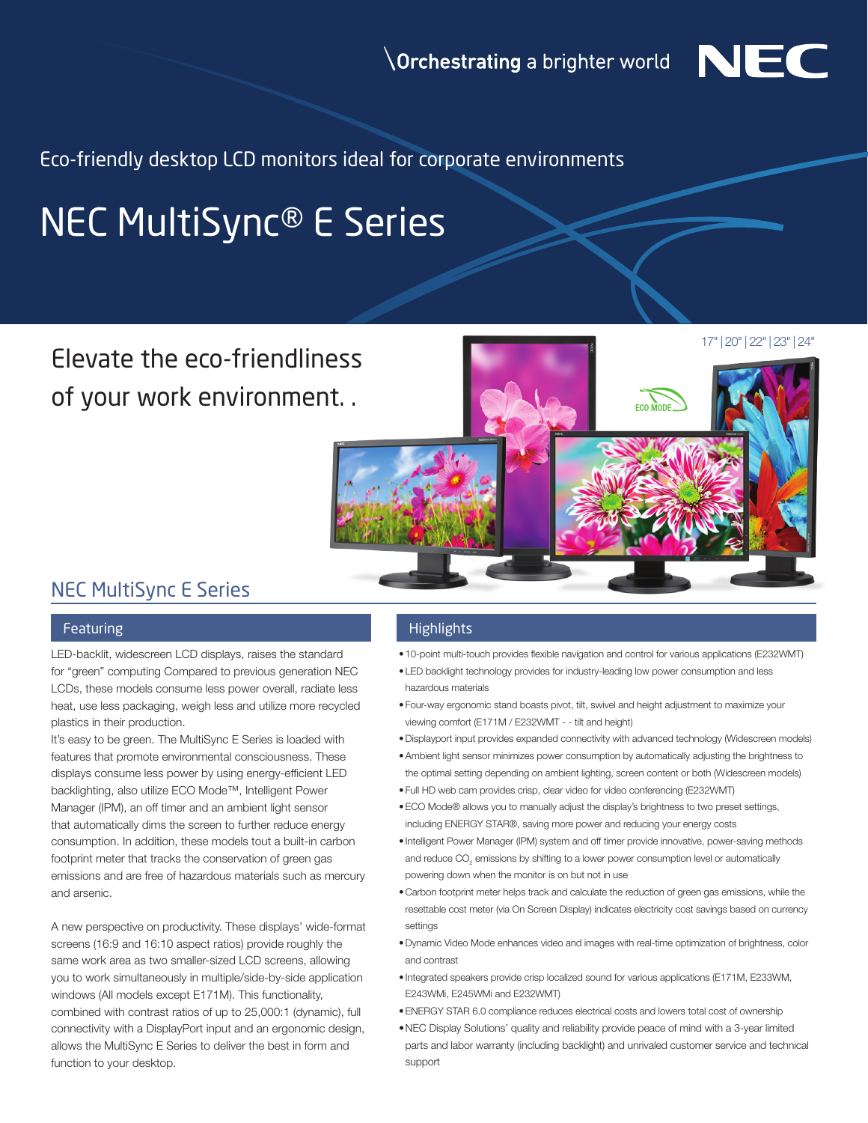

Eco-friendly desktop LCD monitors ideal for corporate environments

# NEC MultiSync® E Series

## Elevate the eco-friendliness of your work environment. .

17" | 20" | 22" | 23" | 24"



### NEC MultiSync E Series

LED-backlit, widescreen LCD displays, raises the standard for "green" computing Compared to previous generation NEC LCDs, these models consume less power overall, radiate less heat, use less packaging, weigh less and utilize more recycled plastics in their production.

It's easy to be green. The MultiSync E Series is loaded with features that promote environmental consciousness. These displays consume less power by using energy-efficient LED backlighting, also utilize ECO Mode™, Intelligent Power Manager (IPM), an off timer and an ambient light sensor that automatically dims the screen to further reduce energy consumption. In addition, these models tout a built-in carbon footprint meter that tracks the conservation of green gas emissions and are free of hazardous materials such as mercury and arsenic.

A new perspective on productivity. These displays' wide-format screens (16:9 and 16:10 aspect ratios) provide roughly the same work area as two smaller-sized LCD screens, allowing you to work simultaneously in multiple/side-by-side application windows (All models except E171M). This functionality, combined with contrast ratios of up to 25,000:1 (dynamic), full connectivity with a DisplayPort input and an ergonomic design, allows the MultiSync E Series to deliver the best in form and function to your desktop.

#### Featuring Highlights and Highlights

- 10-point multi-touch provides flexible navigation and control for various applications (E232WMT)
- LED backlight technology provides for industry-leading low power consumption and less hazardous materials
- Four-way ergonomic stand boasts pivot, tilt, swivel and height adjustment to maximize your viewing comfort (E171M / E232WMT - - tilt and height)
- •Displayport input provides expanded connectivity with advanced technology (Widescreen models)
- •Ambient light sensor minimizes power consumption by automatically adjusting the brightness to the optimal setting depending on ambient lighting, screen content or both (Widescreen models)
- Full HD web cam provides crisp, clear video for video conferencing (E232WMT)
- •ECO Mode® allows you to manually adjust the display's brightness to two preset settings, including ENERGY STAR®, saving more power and reducing your energy costs
- Intelligent Power Manager (IPM) system and off timer provide innovative, power-saving methods and reduce  $\mathsf{CO}_2$  emissions by shifting to a lower power consumption level or automatically powering down when the monitor is on but not in use
- Carbon footprint meter helps track and calculate the reduction of green gas emissions, while the resettable cost meter (via On Screen Display) indicates electricity cost savings based on currency settings
- •Dynamic Video Mode enhances video and images with real-time optimization of brightness, color and contrast
- Integrated speakers provide crisp localized sound for various applications (E171M, E233WM, E243WMi, E245WMi and E232WMT)
- •ENERGY STAR 6.0 compliance reduces electrical costs and lowers total cost of ownership
- •NEC Display Solutions' quality and reliability provide peace of mind with a 3-year limited parts and labor warranty (including backlight) and unrivaled customer service and technical support